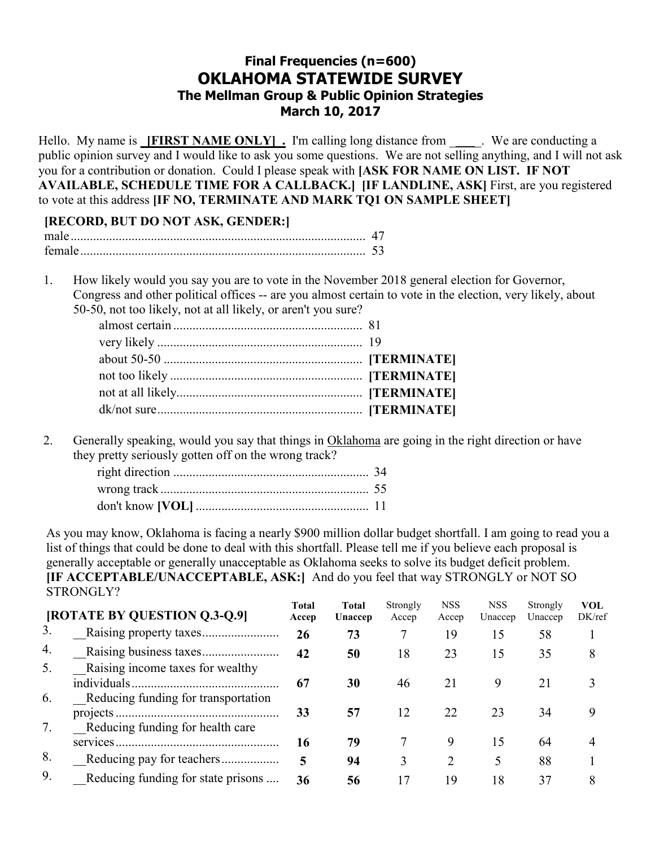# **Final Frequencies (n=600) OKLAHOMA STATEWIDE SURVEY The Mellman Group & Public Opinion Strategies March 10, 2017**

Hello. My name is **IFIRST NAME ONLY** . I'm calling long distance from \_\_\_\_\_. We are conducting a public opinion survey and I would like to ask you some questions. We are not selling anything, and I will not ask you for a contribution or donation. Could I please speak with **[ASK FOR NAME ON LIST. IF NOT AVAILABLE, SCHEDULE TIME FOR A CALLBACK.] [IF LANDLINE, ASK]** First, are you registered to vote at this address **[IF NO, TERMINATE AND MARK TQ1 ON SAMPLE SHEET]** 

## **[RECORD, BUT DO NOT ASK, GENDER:]**

1. How likely would you say you are to vote in the November 2018 general election for Governor, Congress and other political offices -- are you almost certain to vote in the election, very likely, about 50-50, not too likely, not at all likely, or aren't you sure?

2. Generally speaking, would you say that things in Oklahoma are going in the right direction or have they pretty seriously gotten off on the wrong track?

As you may know, Oklahoma is facing a nearly \$900 million dollar budget shortfall. I am going to read you a list of things that could be done to deal with this shortfall. Please tell me if you believe each proposal is generally acceptable or generally unacceptable as Oklahoma seeks to solve its budget deficit problem. **[IF ACCEPTABLE/UNACCEPTABLE, ASK:]** And do you feel that way STRONGLY or NOT SO STRONGLY?

|          | [ROTATE BY QUESTION Q.3-Q.9]                                            | <b>Total</b><br>Accep | <b>Total</b><br>Unaccep | Strongly<br>Accep | <b>NSS</b><br>Accep | <b>NSS</b><br>Unaccep | Strongly<br>Unaccep | <b>VOL</b><br>DK/ref |
|----------|-------------------------------------------------------------------------|-----------------------|-------------------------|-------------------|---------------------|-----------------------|---------------------|----------------------|
| 3.       |                                                                         | 26                    | 73                      |                   | 19                  | 15                    | 58                  |                      |
| 4.       |                                                                         | 42                    | 50                      | 18                | 23                  | 15                    | 35                  | 8                    |
| 5.       | Raising income taxes for wealthy                                        | 67                    | 30                      | 46                | 21                  | 9                     | 21                  |                      |
| 6.<br>7. | Reducing funding for transportation<br>Reducing funding for health care | 33                    | 57                      | 12                | 22                  | 23                    | 34                  |                      |
|          |                                                                         | 16                    | 79                      |                   | 9                   | 15                    | 64                  |                      |
| 8.       |                                                                         | 5                     | 94                      | 3                 | 2                   |                       | 88                  |                      |
| 9.       | Reducing funding for state prisons                                      | 36                    | 56                      | 17                | 19                  | 18                    | 37                  | 8                    |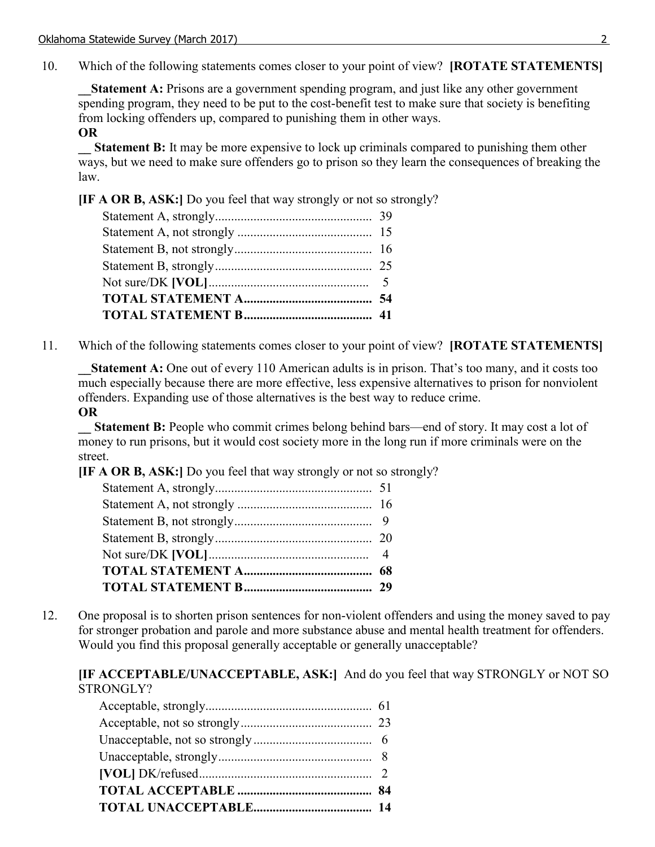10. Which of the following statements comes closer to your point of view? **[ROTATE STATEMENTS]**

**Statement A:** Prisons are a government spending program, and just like any other government spending program, they need to be put to the cost-benefit test to make sure that society is benefiting from locking offenders up, compared to punishing them in other ways.

#### **OR**

**Statement B:** It may be more expensive to lock up criminals compared to punishing them other ways, but we need to make sure offenders go to prison so they learn the consequences of breaking the law.

**[IF A OR B, ASK:]** Do you feel that way strongly or not so strongly?

11. Which of the following statements comes closer to your point of view? **[ROTATE STATEMENTS]**

**Statement A:** One out of every 110 American adults is in prison. That's too many, and it costs too much especially because there are more effective, less expensive alternatives to prison for nonviolent offenders. Expanding use of those alternatives is the best way to reduce crime.

## **OR**

**Statement B:** People who commit crimes belong behind bars—end of story. It may cost a lot of money to run prisons, but it would cost society more in the long run if more criminals were on the street.

**[IF A OR B, ASK:]** Do you feel that way strongly or not so strongly?

12. One proposal is to shorten prison sentences for non-violent offenders and using the money saved to pay for stronger probation and parole and more substance abuse and mental health treatment for offenders. Would you find this proposal generally acceptable or generally unacceptable?

**[IF ACCEPTABLE/UNACCEPTABLE, ASK:]** And do you feel that way STRONGLY or NOT SO STRONGLY?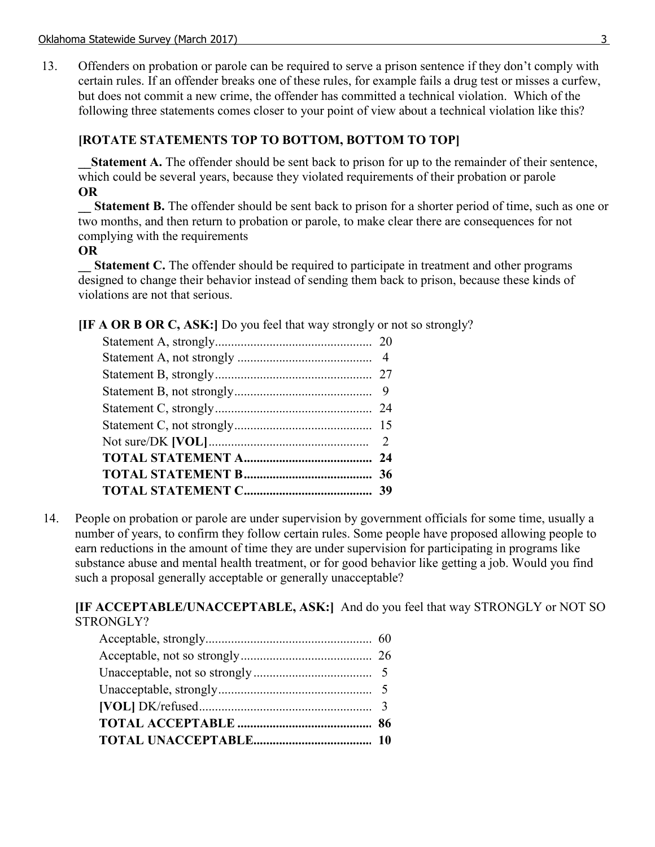13. Offenders on probation or parole can be required to serve a prison sentence if they don't comply with certain rules. If an offender breaks one of these rules, for example fails a drug test or misses a curfew, but does not commit a new crime, the offender has committed a technical violation. Which of the following three statements comes closer to your point of view about a technical violation like this?

## **[ROTATE STATEMENTS TOP TO BOTTOM, BOTTOM TO TOP]**

**Statement A.** The offender should be sent back to prison for up to the remainder of their sentence, which could be several years, because they violated requirements of their probation or parole **OR** 

**Statement B.** The offender should be sent back to prison for a shorter period of time, such as one or two months, and then return to probation or parole, to make clear there are consequences for not complying with the requirements

#### **OR**

**Statement C.** The offender should be required to participate in treatment and other programs designed to change their behavior instead of sending them back to prison, because these kinds of violations are not that serious.

**[IF A OR B OR C, ASK:]** Do you feel that way strongly or not so strongly?

14. People on probation or parole are under supervision by government officials for some time, usually a number of years, to confirm they follow certain rules. Some people have proposed allowing people to earn reductions in the amount of time they are under supervision for participating in programs like substance abuse and mental health treatment, or for good behavior like getting a job. Would you find such a proposal generally acceptable or generally unacceptable?

**[IF ACCEPTABLE/UNACCEPTABLE, ASK:]** And do you feel that way STRONGLY or NOT SO STRONGLY?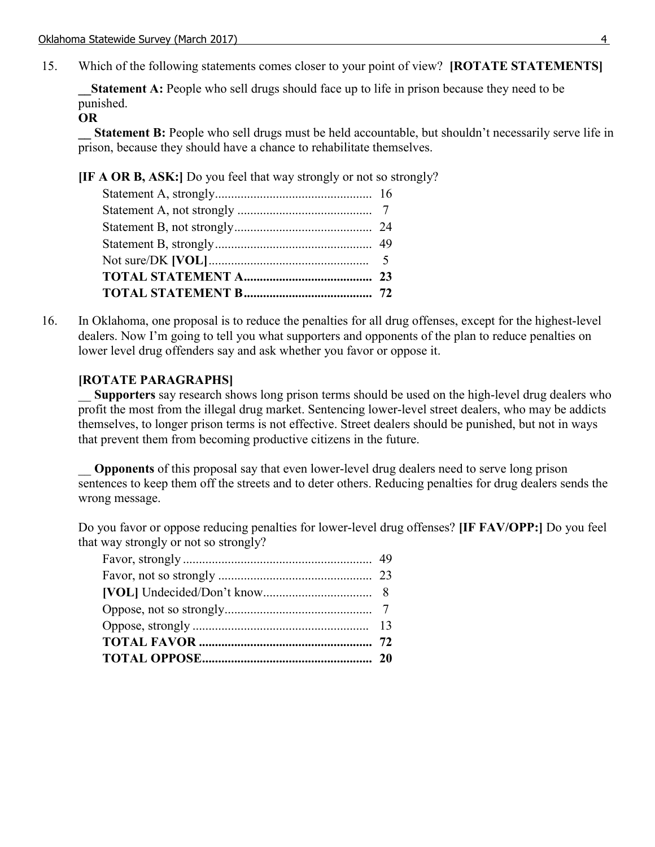15. Which of the following statements comes closer to your point of view? **[ROTATE STATEMENTS]**

**Statement A:** People who sell drugs should face up to life in prison because they need to be punished.

#### **OR**

**Statement B:** People who sell drugs must be held accountable, but shouldn't necessarily serve life in prison, because they should have a chance to rehabilitate themselves.

**[IF A OR B, ASK:]** Do you feel that way strongly or not so strongly?

16. In Oklahoma, one proposal is to reduce the penalties for all drug offenses, except for the highest-level dealers. Now I'm going to tell you what supporters and opponents of the plan to reduce penalties on lower level drug offenders say and ask whether you favor or oppose it.

## **[ROTATE PARAGRAPHS]**

\_\_ **Supporters** say research shows long prison terms should be used on the high-level drug dealers who profit the most from the illegal drug market. Sentencing lower-level street dealers, who may be addicts themselves, to longer prison terms is not effective. Street dealers should be punished, but not in ways that prevent them from becoming productive citizens in the future.

**Opponents** of this proposal say that even lower-level drug dealers need to serve long prison sentences to keep them off the streets and to deter others. Reducing penalties for drug dealers sends the wrong message.

Do you favor or oppose reducing penalties for lower-level drug offenses? **[IF FAV/OPP:]** Do you feel that way strongly or not so strongly?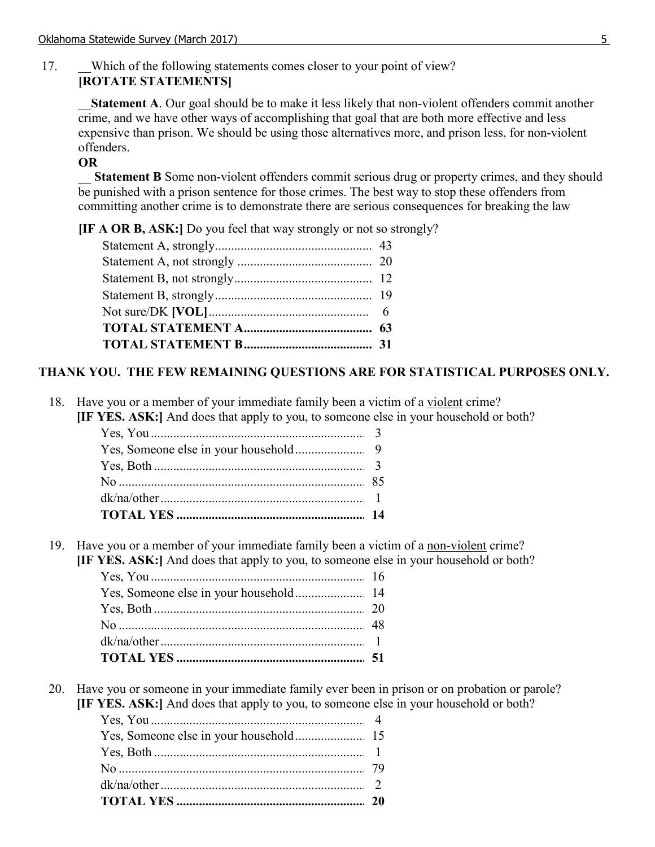# 17. Which of the following statements comes closer to your point of view? **[ROTATE STATEMENTS]**

**Statement A**. Our goal should be to make it less likely that non-violent offenders commit another crime, and we have other ways of accomplishing that goal that are both more effective and less expensive than prison. We should be using those alternatives more, and prison less, for non-violent offenders.

# **OR**

**Statement B** Some non-violent offenders commit serious drug or property crimes, and they should be punished with a prison sentence for those crimes. The best way to stop these offenders from committing another crime is to demonstrate there are serious consequences for breaking the law

**[IF A OR B, ASK:]** Do you feel that way strongly or not so strongly?

# **THANK YOU. THE FEW REMAINING QUESTIONS ARE FOR STATISTICAL PURPOSES ONLY.**

18. Have you or a member of your immediate family been a victim of a violent crime?

**[IF YES. ASK:]** And does that apply to you, to someone else in your household or both?

19. Have you or a member of your immediate family been a victim of a non-violent crime?

**[IF YES. ASK:]** And does that apply to you, to someone else in your household or both?

20. Have you or someone in your immediate family ever been in prison or on probation or parole? **[IF YES. ASK:]** And does that apply to you, to someone else in your household or both?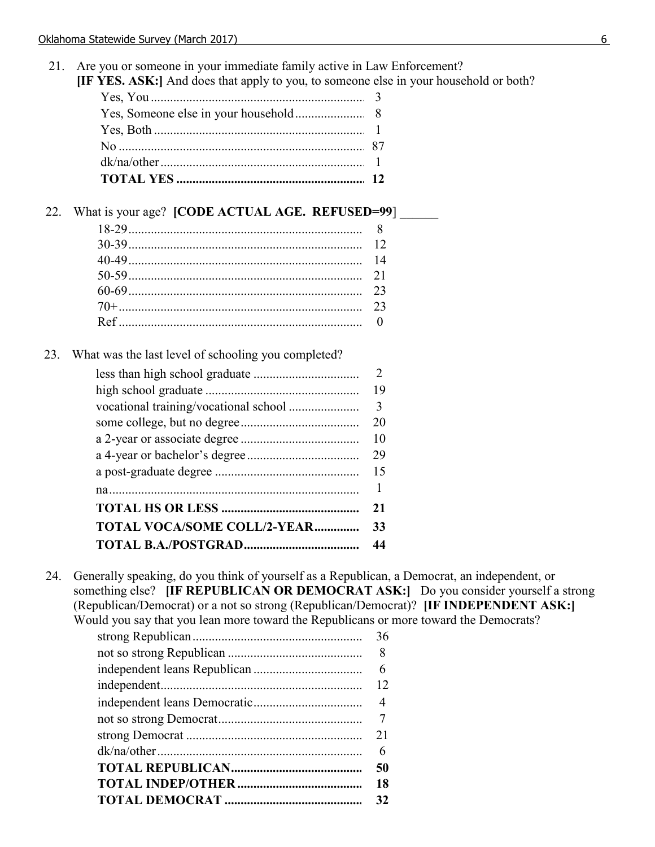- 21. Are you or someone in your immediate family active in Law Enforcement?
	- **[IF YES. ASK:]** And does that apply to you, to someone else in your household or both?

# 22. What is your age? **[CODE ACTUAL AGE. REFUSED=99**]

# 23. What was the last level of schooling you completed?

|                                    | 2                       |
|------------------------------------|-------------------------|
|                                    | 19                      |
|                                    | $\overline{\mathbf{3}}$ |
|                                    | 20                      |
|                                    | 10                      |
|                                    | 29                      |
|                                    |                         |
|                                    | 1                       |
|                                    | 21                      |
| <b>TOTAL VOCA/SOME COLL/2-YEAR</b> | 33                      |
|                                    | 44                      |

24. Generally speaking, do you think of yourself as a Republican, a Democrat, an independent, or something else? **[IF REPUBLICAN OR DEMOCRAT ASK:]** Do you consider yourself a strong (Republican/Democrat) or a not so strong (Republican/Democrat)? **[IF INDEPENDENT ASK:]** Would you say that you lean more toward the Republicans or more toward the Democrats?

| 36 |
|----|
|    |
|    |
|    |
|    |
|    |
|    |
| 6  |
| 50 |
|    |
| 32 |
|    |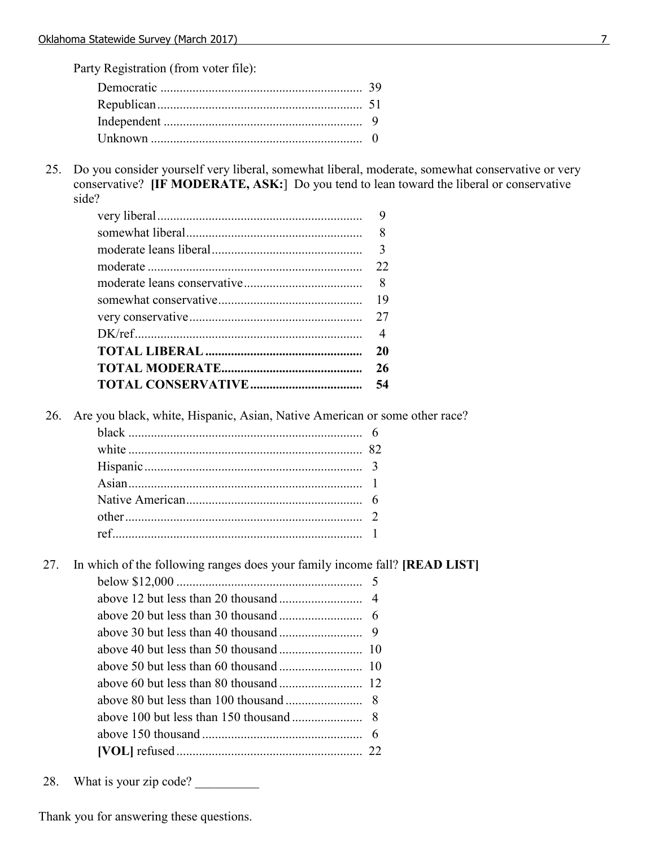Party Registration (from voter file):

25. Do you consider yourself very liberal, somewhat liberal, moderate, somewhat conservative or very conservative? **[IF MODERATE, ASK:**] Do you tend to lean toward the liberal or conservative side?

| 8              |
|----------------|
| 3              |
| 22             |
|                |
| 19             |
|                |
| $\overline{4}$ |
| 20             |
| 26             |
| 54             |

26. Are you black, white, Hispanic, Asian, Native American or some other race?

27. In which of the following ranges does your family income fall? **[READ LIST]**

28. What is your zip code?

Thank you for answering these questions.